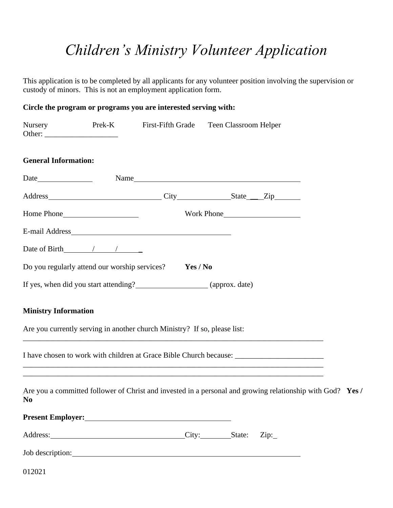# *Children's Ministry Volunteer Application*

This application is to be completed by all applicants for any volunteer position involving the supervision or custody of minors. This is not an employment application form.

## **Circle the program or programs you are interested serving with:**

| <b>Nursery</b>              |                                    | Prek-K First-Fifth Grade Teen Classroom Helper                                                                                                                                                                                      |            |  |  |
|-----------------------------|------------------------------------|-------------------------------------------------------------------------------------------------------------------------------------------------------------------------------------------------------------------------------------|------------|--|--|
| <b>General Information:</b> |                                    |                                                                                                                                                                                                                                     |            |  |  |
|                             |                                    |                                                                                                                                                                                                                                     |            |  |  |
|                             |                                    | Address City State Zip                                                                                                                                                                                                              |            |  |  |
|                             |                                    |                                                                                                                                                                                                                                     | Work Phone |  |  |
|                             |                                    |                                                                                                                                                                                                                                     |            |  |  |
|                             | Date of Birth $\frac{\sqrt{2}}{2}$ |                                                                                                                                                                                                                                     |            |  |  |
|                             |                                    | Do you regularly attend our worship services? Yes / No                                                                                                                                                                              |            |  |  |
|                             |                                    | If yes, when did you start attending? (approx. date)                                                                                                                                                                                |            |  |  |
| <b>Ministry Information</b> |                                    |                                                                                                                                                                                                                                     |            |  |  |
|                             |                                    | Are you currently serving in another church Ministry? If so, please list:                                                                                                                                                           |            |  |  |
|                             |                                    | ,我们也不能在这里的时候,我们也不能在这里的时候,我们也不能会在这里的时候,我们也不能会在这里的时候,我们也不能会在这里的时候,我们也不能会在这里的时候,我们也不                                                                                                                                                   |            |  |  |
| N <sub>0</sub>              |                                    | Are you a committed follower of Christ and invested in a personal and growing relationship with God? Yes /                                                                                                                          |            |  |  |
|                             |                                    | <b>Present Employer:</b> The contract of the contract of the contract of the contract of the contract of the contract of the contract of the contract of the contract of the contract of the contract of the contract of the contra |            |  |  |
|                             |                                    | Address: City: State: Zip:                                                                                                                                                                                                          |            |  |  |
|                             |                                    | Job description: 1000 million and the set of the set of the set of the set of the set of the set of the set of the set of the set of the set of the set of the set of the set of the set of the set of the set of the set of t      |            |  |  |
| 012021                      |                                    |                                                                                                                                                                                                                                     |            |  |  |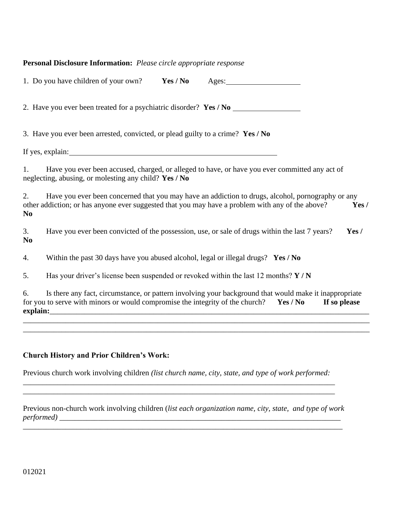#### **Personal Disclosure Information:** *Please circle appropriate response*

|                      | Yes / No<br>1. Do you have children of your own?<br>Ages:                                                                                                                                                           |
|----------------------|---------------------------------------------------------------------------------------------------------------------------------------------------------------------------------------------------------------------|
|                      | 2. Have you ever been treated for a psychiatric disorder? Yes / No                                                                                                                                                  |
|                      | 3. Have you ever been arrested, convicted, or plead guilty to a crime? Yes / No                                                                                                                                     |
|                      | If yes, explain:<br><u> 1989 - Johann Stein, fransk politik (d. 1989)</u>                                                                                                                                           |
| 1.                   | Have you ever been accused, charged, or alleged to have, or have you ever committed any act of<br>neglecting, abusing, or molesting any child? Yes / No                                                             |
| 2.<br>N <sub>0</sub> | Have you ever been concerned that you may have an addiction to drugs, alcohol, pornography or any<br>other addiction; or has anyone ever suggested that you may have a problem with any of the above?<br>Yes/       |
| 3.<br>N <sub>0</sub> | Have you ever been convicted of the possession, use, or sale of drugs within the last 7 years?<br>Yes/                                                                                                              |
| 4.                   | Within the past 30 days have you abused alcohol, legal or illegal drugs? Yes / No                                                                                                                                   |
| 5.                   | Has your driver's license been suspended or revoked within the last 12 months? $Y/N$                                                                                                                                |
| 6.<br>explain:       | Is there any fact, circumstance, or pattern involving your background that would make it inappropriate<br>for you to serve with minors or would compromise the integrity of the church?<br>Yes / No<br>If so please |

\_\_\_\_\_\_\_\_\_\_\_\_\_\_\_\_\_\_\_\_\_\_\_\_\_\_\_\_\_\_\_\_\_\_\_\_\_\_\_\_\_\_\_\_\_\_\_\_\_\_\_\_\_\_\_\_\_\_\_\_\_\_\_\_\_\_\_\_\_\_\_\_\_\_\_\_\_\_\_\_\_\_\_\_\_\_\_\_\_\_

*\_\_\_\_\_\_\_\_\_\_\_\_\_\_\_\_\_\_\_\_\_\_\_\_\_\_\_\_\_\_\_\_\_\_\_\_\_\_\_\_\_\_\_\_\_\_\_\_\_\_\_\_\_\_\_\_\_\_\_\_\_\_\_\_\_\_\_\_\_\_\_\_\_\_\_\_\_\_\_\_\_*

## **Church History and Prior Children's Work:**

Previous church work involving children *(list church name, city, state, and type of work performed:* 

\_\_\_\_\_\_\_\_\_\_\_\_\_\_\_\_\_\_\_\_\_\_\_\_\_\_\_\_\_\_\_\_\_\_\_\_\_\_\_\_\_\_\_\_\_\_\_\_\_\_\_\_\_\_\_\_\_\_\_\_\_\_\_\_\_\_\_\_\_\_\_\_\_\_\_\_\_\_\_\_\_

Previous non-church work involving children (*list each organization name, city, state, and type of work performed) \_\_\_\_\_\_\_\_\_\_\_\_\_\_\_\_\_\_\_\_\_\_\_\_\_\_\_\_\_\_\_\_\_\_\_\_\_\_\_\_\_\_\_\_\_\_\_\_\_\_\_\_\_\_\_\_\_\_\_\_\_\_\_\_\_\_\_\_\_\_\_\_\_*